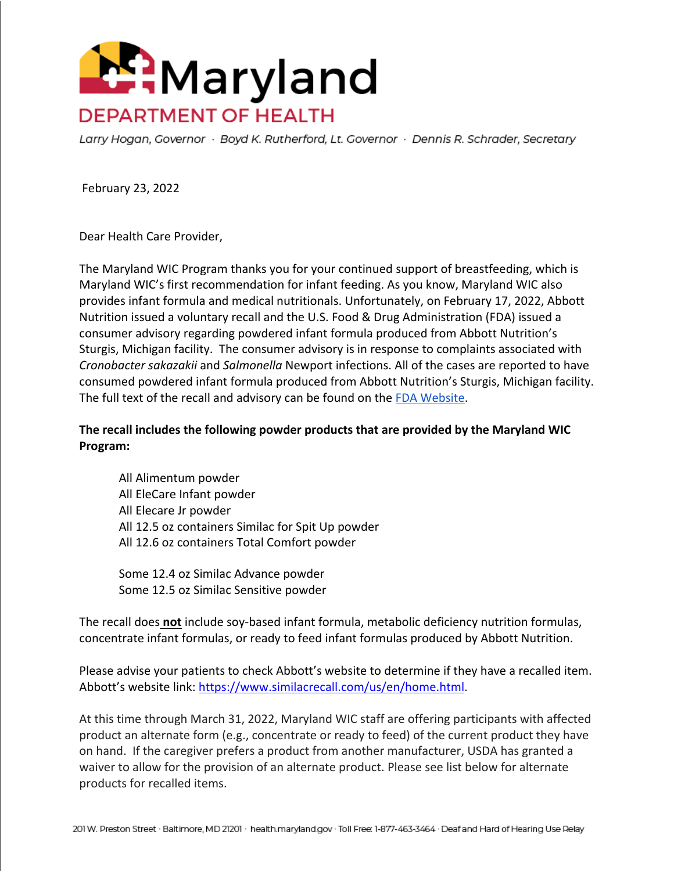

Larry Hogan, Governor · Boyd K. Rutherford, Lt. Governor · Dennis R. Schrader, Secretary

February 23, 2022

Dear Health Care Provider,

The Maryland WIC Program thanks you for your continued support of breastfeeding, which is Maryland WIC's first recommendation for infant feeding. As you know, Maryland WIC also provides infant formula and medical nutritionals. Unfortunately, on February 17, 2022, Abbott Nutrition issued a voluntary recall and the U.S. Food & Drug Administration (FDA) issued a consumer advisory regarding powdered infant formula produced from Abbott Nutrition's Sturgis, Michigan facility. The consumer advisory is in response to complaints associated with *Cronobacter sakazakii* and *Salmonella* Newport infections. All of the cases are reported to have consumed powdered infant formula produced from Abbott Nutrition's Sturgis, Michigan facility. The full text of the recall and advisory can be found on the [FDA Website.](https://www.fda.gov/food/outbreaks-foodborne-illness/fda-investigation-cronobacter-and-salmonella-complaints-powdered-infant-formula-february-2022?utm_medium=email&utm_source=govdelivery)

**The recall includes the following powder products that are provided by the Maryland WIC Program:**

All Alimentum powder All EleCare Infant powder All Elecare Jr powder All 12.5 oz containers Similac for Spit Up powder All 12.6 oz containers Total Comfort powder

Some 12.4 oz Similac Advance powder Some 12.5 oz Similac Sensitive powder

The recall does **not** include soy-based infant formula, metabolic deficiency nutrition formulas, concentrate infant formulas, or ready to feed infant formulas produced by Abbott Nutrition.

Please advise your patients to check Abbott's website to determine if they have a recalled item. Abbott's website link: [https://www.similacrecall.com/us/en/home.html.](https://www.similacrecall.com/us/en/home.html)

At this time through March 31, 2022, Maryland WIC staff are offering participants with affected product an alternate form (e.g., concentrate or ready to feed) of the current product they have on hand. If the caregiver prefers a product from another manufacturer, USDA has granted a waiver to allow for the provision of an alternate product. Please see list below for alternate products for recalled items.